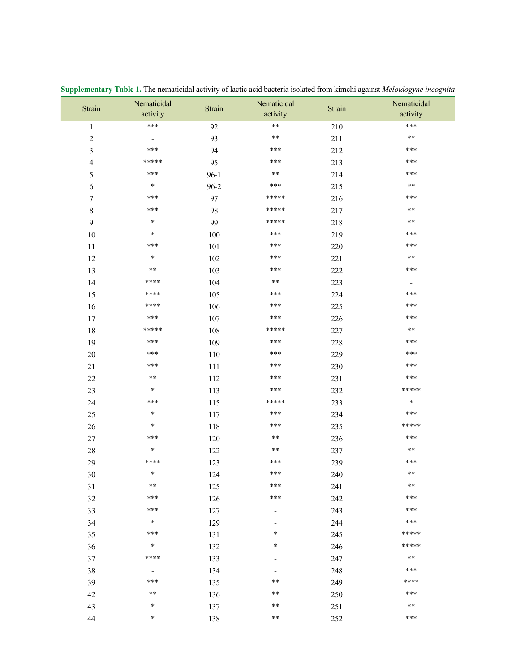| Strain                  | Nematicidal                  | Strain   | Nematicidal                  | Strain  | Nematicidal              |
|-------------------------|------------------------------|----------|------------------------------|---------|--------------------------|
|                         | activity                     |          | activity                     |         | activity                 |
| $\,1\,$                 | ***                          | 92       | $***$                        | 210     | ***                      |
| $\sqrt{2}$              | $\qquad \qquad \blacksquare$ | 93       | $***$                        | 211     | $***$                    |
| $\overline{\mathbf{3}}$ | ***                          | 94       | ***                          | 212     | ***                      |
| $\overline{4}$          | *****                        | 95       | ***                          | 213     | ***                      |
| 5                       | ***                          | $96-1$   | $***$                        | 214     | ***                      |
| 6                       | $\ast$                       | $96 - 2$ | ***                          | 215     | $***$                    |
| $\boldsymbol{7}$        | ***                          | 97       | *****                        | 216     | ***                      |
| 8                       | ***                          | 98       | *****                        | 217     | $***$                    |
| 9                       | $\ast$                       | 99       | *****                        | 218     | **                       |
| $10\,$                  | $\ast$                       | 100      | ***                          | 219     | ***                      |
| $11\,$                  | ***                          | 101      | ***                          | 220     | ***                      |
| 12                      | $\ast$                       | $102\,$  | ***                          | 221     | $***$                    |
| 13                      | $***$                        | 103      | ***                          | $222\,$ | ***                      |
| 14                      | ****                         | 104      | $***$                        | 223     | $\overline{\phantom{a}}$ |
| 15                      | ****                         | 105      | ***                          | 224     | ***                      |
| 16                      | ****                         | 106      | ***                          | 225     | ***                      |
| $17$                    | ***                          | 107      | ***                          | 226     | ***                      |
| 18                      | *****                        | 108      | *****                        | 227     | $***$                    |
| 19                      | ***                          | 109      | ***                          | 228     | ***                      |
| $20\,$                  | ***                          | 110      | ***                          | 229     | ***                      |
| 21                      | ***                          | 111      | ***                          | 230     | ***                      |
| $22\,$                  | $***$                        | 112      | ***                          | 231     | ***                      |
| $23\,$                  | $\ast$                       | 113      | ***                          | 232     | *****                    |
| 24                      | ***                          | 115      | *****                        | 233     | $\ast$                   |
| 25                      | $\ast$                       | 117      | ***                          | 234     | ***                      |
| $26\,$                  | $\ast$                       | 118      | ***                          | 235     | *****                    |
| $27\,$                  | ***                          | 120      | $***$                        | 236     | ***                      |
| 28                      | $\ast$                       | 122      | **                           | 237     | $***$                    |
| 29                      | ****                         | 123      | ***                          | 239     | ***                      |
| 30                      | $\ast$                       | 124      | ***                          | 240     | $***$                    |
| 31                      | $***$                        | 125      | ***                          | 241     | $***$                    |
| $32\,$                  | ***                          | 126      | ***                          | 242     | ***                      |
| 33                      | ***                          | 127      | $\overline{\phantom{a}}$     | 243     | ***                      |
| 34                      | $\ast$                       | 129      |                              | 244     | ***                      |
| 35                      | ***                          | 131      | *                            | 245     | *****                    |
| 36                      | $\ast$                       | 132      | *                            | 246     | *****                    |
| 37                      | ****                         | 133      |                              | 247     | $***$                    |
| 38                      | $\overline{\phantom{a}}$     | 134      | $\qquad \qquad \blacksquare$ | 248     | ***                      |
| 39                      | ***                          | 135      | **                           | 249     | ****                     |
| $42\,$                  | **                           | 136      | **                           | 250     | ***                      |
| 43                      | $\ast$                       | 137      | **                           | 251     | $***$                    |
| $44\,$                  | $\ast$                       | 138      | **                           | 252     | ***                      |

Supplementary Table 1. The nematicidal activity of lactic acid bacteria isolated from kimchi against Meloidogyne incognita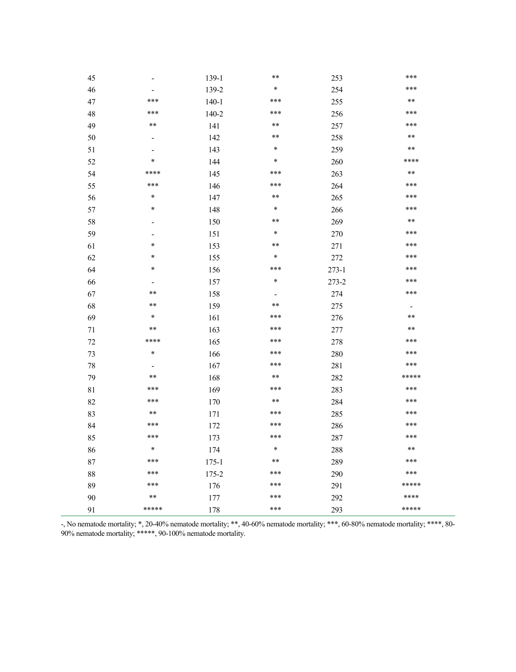| 45     | $\overline{\phantom{a}}$     | 139-1     | **     | 253       | ***                      |
|--------|------------------------------|-----------|--------|-----------|--------------------------|
| 46     | -                            | 139-2     | $\ast$ | 254       | ***                      |
| $47\,$ | ***                          | $140 - 1$ | ***    | 255       | **                       |
| 48     | ***                          | $140 - 2$ | ***    | 256       | ***                      |
| 49     | $***$                        | 141       | $***$  | 257       | ***                      |
| 50     | $\qquad \qquad \blacksquare$ | 142       | **     | 258       | $***$                    |
| 51     | $\qquad \qquad \blacksquare$ | 143       | $\ast$ | 259       | **                       |
| 52     | $\ast$                       | 144       | $\ast$ | 260       | ****                     |
| 54     | ****                         | 145       | ***    | 263       | $***$                    |
| 55     | ***                          | 146       | ***    | 264       | ***                      |
| 56     | $\ast$                       | 147       | $***$  | 265       | ***                      |
| 57     | $\ast$                       | 148       | $\ast$ | 266       | ***                      |
| 58     | $\overline{a}$               | 150       | **     | 269       | **                       |
| 59     | $\overline{a}$               | 151       | $\ast$ | 270       | ***                      |
| 61     | $\ast$                       | 153       | **     | 271       | ***                      |
| 62     | $\ast$                       | 155       | $\ast$ | $272\,$   | ***                      |
| 64     | $\ast$                       | 156       | ***    | $273 - 1$ | ***                      |
| 66     | $\overline{\phantom{a}}$     | 157       | $\ast$ | $273 - 2$ | ***                      |
| 67     | **                           | 158       |        | 274       | ***                      |
| 68     | **                           | 159       | **     | 275       | $\overline{\phantom{a}}$ |
| 69     | $\ast$                       | 161       | ***    | 276       | **                       |
| 71     | **                           | 163       | ***    | 277       | **                       |
| $72\,$ | ****                         | 165       | ***    | 278       | ***                      |
| 73     | $\ast$                       | 166       | ***    | 280       | ***                      |
| $78\,$ | $\overline{\phantom{a}}$     | 167       | ***    | 281       | ***                      |
| 79     | $***$                        | 168       | $***$  | 282       | *****                    |
| $81\,$ | ***                          | 169       | ***    | 283       | ***                      |
| 82     | ***                          | 170       | $***$  | 284       | ***                      |
| 83     | $***$                        | 171       | ***    | 285       | ***                      |
| 84     | ***                          | 172       | ***    | 286       | ***                      |
| 85     | ***                          | 173       | ***    | 287       | ***                      |
| 86     | $\ast$                       | 174       | $\ast$ | 288       | **                       |
| 87     | ***                          | $175 - 1$ | **     | 289       | ***                      |
| $88\,$ | ***                          | 175-2     | ***    | 290       | ***                      |
| 89     | ***                          | 176       | ***    | 291       | *****                    |
| $90\,$ | $***$                        | 177       | ***    | 292       | ****                     |
| 91     | *****                        | 178       | ***    | 293       | *****                    |

-, No nematode mortality; \*, 20-40% nematode mortality; \*\*, 40-60% nematode mortality; \*\*\*, 60-80% nematode mortality; \*\*\*\*, 80-90% nematode mortality; \*\*\*\*, 80-